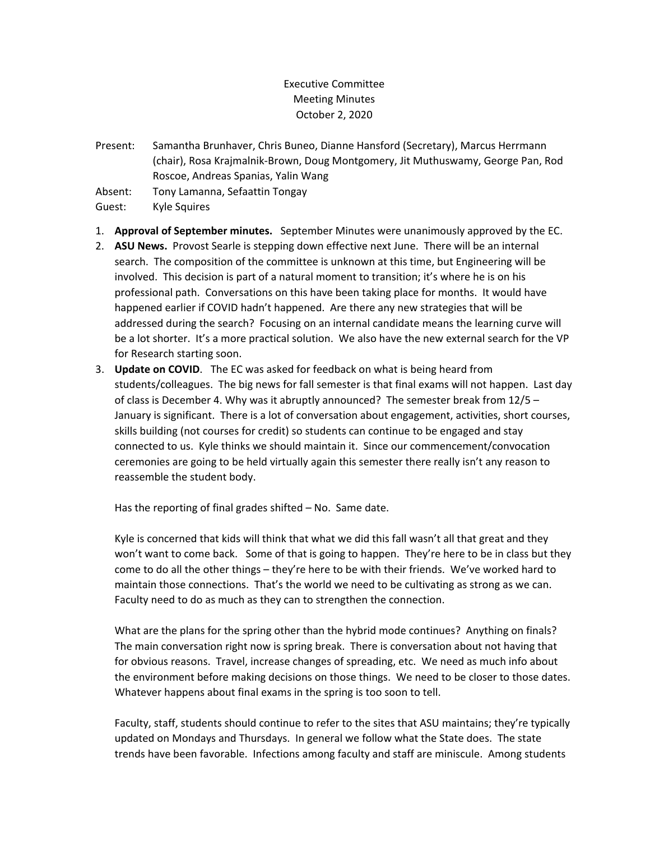## Executive Committee Meeting Minutes October 2, 2020

Present: Samantha Brunhaver, Chris Buneo, Dianne Hansford (Secretary), Marcus Herrmann (chair), Rosa Krajmalnik-Brown, Doug Montgomery, Jit Muthuswamy, George Pan, Rod Roscoe, Andreas Spanias, Yalin Wang

Absent: Tony Lamanna, Sefaattin Tongay

Guest: Kyle Squires

- 1. **Approval of September minutes.** September Minutes were unanimously approved by the EC.
- 2. **ASU News.** Provost Searle is stepping down effective next June. There will be an internal search. The composition of the committee is unknown at this time, but Engineering will be involved. This decision is part of a natural moment to transition; it's where he is on his professional path. Conversations on this have been taking place for months. It would have happened earlier if COVID hadn't happened. Are there any new strategies that will be addressed during the search? Focusing on an internal candidate means the learning curve will be a lot shorter. It's a more practical solution. We also have the new external search for the VP for Research starting soon.
- 3. **Update on COVID**. The EC was asked for feedback on what is being heard from students/colleagues. The big news for fall semester is that final exams will not happen. Last day of class is December 4. Why was it abruptly announced? The semester break from 12/5 – January is significant. There is a lot of conversation about engagement, activities, short courses, skills building (not courses for credit) so students can continue to be engaged and stay connected to us. Kyle thinks we should maintain it. Since our commencement/convocation ceremonies are going to be held virtually again this semester there really isn't any reason to reassemble the student body.

Has the reporting of final grades shifted – No. Same date.

Kyle is concerned that kids will think that what we did this fall wasn't all that great and they won't want to come back. Some of that is going to happen. They're here to be in class but they come to do all the other things – they're here to be with their friends. We've worked hard to maintain those connections. That's the world we need to be cultivating as strong as we can. Faculty need to do as much as they can to strengthen the connection.

What are the plans for the spring other than the hybrid mode continues? Anything on finals? The main conversation right now is spring break. There is conversation about not having that for obvious reasons. Travel, increase changes of spreading, etc. We need as much info about the environment before making decisions on those things. We need to be closer to those dates. Whatever happens about final exams in the spring is too soon to tell.

Faculty, staff, students should continue to refer to the sites that ASU maintains; they're typically updated on Mondays and Thursdays. In general we follow what the State does. The state trends have been favorable. Infections among faculty and staff are miniscule. Among students